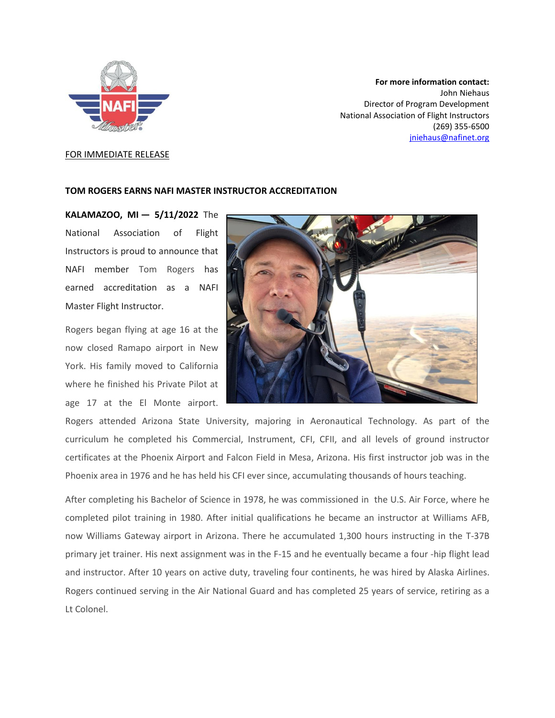

## **For more information contact:** John Niehaus Director of Program Development National Association of Flight Instructors (269) 355-6500 [jniehaus@nafinet.org](mailto:jniehaus@nafinet.org)

## FOR IMMEDIATE RELEASE

## **TOM ROGERS EARNS NAFI MASTER INSTRUCTOR ACCREDITATION**

**KALAMAZOO, MI — 5/11/2022** The National Association of Flight Instructors is proud to announce that NAFI member Tom Rogers has earned accreditation as a NAFI Master Flight Instructor.

Rogers began flying at age 16 at the now closed Ramapo airport in New York. His family moved to California where he finished his Private Pilot at age 17 at the El Monte airport.



Rogers attended Arizona State University, majoring in Aeronautical Technology. As part of the curriculum he completed his Commercial, Instrument, CFI, CFII, and all levels of ground instructor certificates at the Phoenix Airport and Falcon Field in Mesa, Arizona. His first instructor job was in the Phoenix area in 1976 and he has held his CFI ever since, accumulating thousands of hours teaching.

After completing his Bachelor of Science in 1978, he was commissioned in the U.S. Air Force, where he completed pilot training in 1980. After initial qualifications he became an instructor at Williams AFB, now Williams Gateway airport in Arizona. There he accumulated 1,300 hours instructing in the T-37B primary jet trainer. His next assignment was in the F-15 and he eventually became a four -hip flight lead and instructor. After 10 years on active duty, traveling four continents, he was hired by Alaska Airlines. Rogers continued serving in the Air National Guard and has completed 25 years of service, retiring as a Lt Colonel.